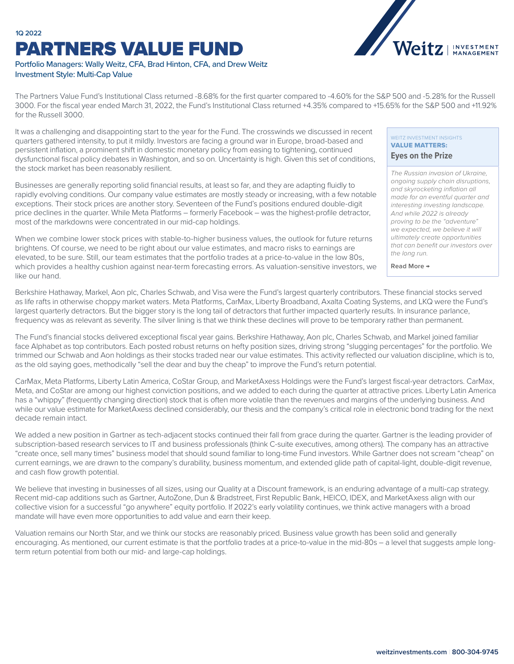# **1Q 2022** PARTNERS VALUE FUND



## Portfolio Managers: Wally Weitz, CFA, Brad Hinton, CFA, and Drew Weitz Investment Style: Multi-Cap Value

The Partners Value Fund's Institutional Class returned -8.68% for the first quarter compared to -4.60% for the S&P 500 and -5.28% for the Russell 3000. For the fiscal year ended March 31, 2022, the Fund's Institutional Class returned +4.35% compared to +15.65% for the S&P 500 and +11.92% for the Russell 3000.

It was a challenging and disappointing start to the year for the Fund. The crosswinds we discussed in recent quarters gathered intensity, to put it mildly. Investors are facing a ground war in Europe, broad-based and persistent inflation, a prominent shift in domestic monetary policy from easing to tightening, continued dysfunctional fiscal policy debates in Washington, and so on. Uncertainty is high. Given this set of conditions, the stock market has been reasonably resilient.

Businesses are generally reporting solid financial results, at least so far, and they are adapting fluidly to rapidly evolving conditions. Our company value estimates are mostly steady or increasing, with a few notable exceptions. Their stock prices are another story. Seventeen of the Fund's positions endured double-digit price declines in the quarter. While Meta Platforms – formerly Facebook – was the highest-profile detractor, most of the markdowns were concentrated in our mid-cap holdings.

When we combine lower stock prices with stable-to-higher business values, the outlook for future returns brightens. Of course, we need to be right about our value estimates, and macro risks to earnings are elevated, to be sure. Still, our team estimates that the portfolio trades at a price-to-value in the low 80s, which provides a healthy cushion against near-term forecasting errors. As valuation-sensitive investors, we like our hand.

#### WEITZ INVESTMENT INSIGHTS VALUE MATTERS: **Eyes on the Prize**

*The Russian invasion of Ukraine, ongoing supply chain disruptions, and skyrocketing inflation all made for an eventful quarter and interesting investing landscape. And while 2022 is already proving to be the "adventure" we expected, we believe it will ultimately create opportunities that can benefit our investors over the long run.*

**Read More →**

Berkshire Hathaway, Markel, Aon plc, Charles Schwab, and Visa were the Fund's largest quarterly contributors. These financial stocks served as life rafts in otherwise choppy market waters. Meta Platforms, CarMax, Liberty Broadband, Axalta Coating Systems, and LKQ were the Fund's largest quarterly detractors. But the bigger story is the long tail of detractors that further impacted quarterly results. In insurance parlance, frequency was as relevant as severity. The silver lining is that we think these declines will prove to be temporary rather than permanent.

The Fund's financial stocks delivered exceptional fiscal year gains. Berkshire Hathaway, Aon plc, Charles Schwab, and Markel joined familiar face Alphabet as top contributors. Each posted robust returns on hefty position sizes, driving strong "slugging percentages" for the portfolio. We trimmed our Schwab and Aon holdings as their stocks traded near our value estimates. This activity reflected our valuation discipline, which is to, as the old saying goes, methodically "sell the dear and buy the cheap" to improve the Fund's return potential.

CarMax, Meta Platforms, Liberty Latin America, CoStar Group, and MarketAxess Holdings were the Fund's largest fiscal-year detractors. CarMax, Meta, and CoStar are among our highest conviction positions, and we added to each during the quarter at attractive prices. Liberty Latin America has a "whippy" (frequently changing direction) stock that is often more volatile than the revenues and margins of the underlying business. And while our value estimate for MarketAxess declined considerably, our thesis and the company's critical role in electronic bond trading for the next decade remain intact.

We added a new position in Gartner as tech-adjacent stocks continued their fall from grace during the quarter. Gartner is the leading provider of subscription-based research services to IT and business professionals (think C-suite executives, among others). The company has an attractive "create once, sell many times" business model that should sound familiar to long-time Fund investors. While Gartner does not scream "cheap" on current earnings, we are drawn to the company's durability, business momentum, and extended glide path of capital-light, double-digit revenue, and cash flow growth potential.

We believe that investing in businesses of all sizes, using our Quality at a Discount framework, is an enduring advantage of a multi-cap strategy. Recent mid-cap additions such as Gartner, AutoZone, Dun & Bradstreet, First Republic Bank, HEICO, IDEX, and MarketAxess align with our collective vision for a successful "go anywhere" equity portfolio. If 2022's early volatility continues, we think active managers with a broad mandate will have even more opportunities to add value and earn their keep.

Valuation remains our North Star, and we think our stocks are reasonably priced. Business value growth has been solid and generally encouraging. As mentioned, our current estimate is that the portfolio trades at a price-to-value in the mid-80s – a level that suggests ample longterm return potential from both our mid- and large-cap holdings.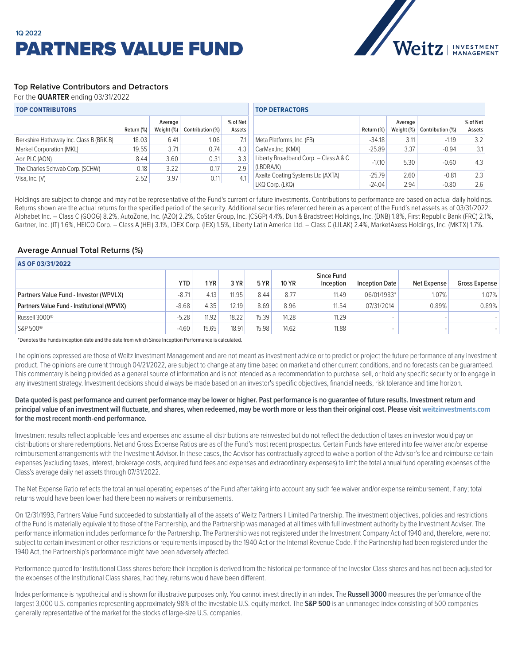

## **Top Relative Contributors and Detractors**

For the **QUARTER** ending 03/31/2022

| <b>TOP CONTRIBUTORS</b>                 |            |                       |                  |                    | <b>TOP DETRACTORS</b>                 |            |                       |                  |                    |  |
|-----------------------------------------|------------|-----------------------|------------------|--------------------|---------------------------------------|------------|-----------------------|------------------|--------------------|--|
|                                         | Return (%) | Average<br>Weight (%) | Contribution (%) | % of Net<br>Assets |                                       | Return (%) | Average<br>Weight (%) | Contribution (%) | % of Net<br>Assets |  |
| Berkshire Hathaway Inc. Class B (BRK.B) | 18.03      | 6.41                  | 1.06             | 7.1                | Meta Platforms, Inc. (FB)             | $-34.18$   | 3.11                  | $-1.19$          | 3.2                |  |
| Markel Corporation (MKL)                | 19.55      | 3.71                  | 0.74             | 4.3                | CarMax, Inc. (KMX)                    | $-25.89$   | 3.37                  | $-0.94$          | 3.1                |  |
| Aon PLC (AON)                           | 8.44       | 3.60                  | 0.31             | 3.3                | Liberty Broadband Corp. - Class A & C | $-17.10$   | 5.30                  | $-0.60$          | 4.3                |  |
| The Charles Schwab Corp. (SCHW)         | 0.18       | 3.22                  | 0.17             | 2.9                | (LBDRA/K)                             |            |                       |                  |                    |  |
| Visa, Inc. (V)                          | 2.52       | 3.97                  | 0.11             | 4.1                | Axalta Coating Systems Ltd (AXTA)     | $-25.79$   | 2.60                  | $-0.81$          | 2.3                |  |
|                                         |            |                       |                  |                    | LKQ Corp. (LKQ)                       | $-24.04$   | 2.94                  | $-0.80$          | 2.6                |  |

Holdings are subject to change and may not be representative of the Fund's current or future investments. Contributions to performance are based on actual daily holdings. Returns shown are the actual returns for the specified period of the security. Additional securities referenced herein as a percent of the Fund's net assets as of 03/31/2022: Alphabet Inc. – Class C (GOOG) 8.2%, AutoZone, Inc. (AZO) 2.2%, CoStar Group, Inc. (CSGP) 4.4%, Dun & Bradstreet Holdings, Inc. (DNB) 1.8%, First Republic Bank (FRC) 2.1%, Gartner, Inc. (IT) 1.6%, HEICO Corp. - Class A (HEI) 3.1%, IDEX Corp. (IEX) 1.5%, Liberty Latin America Ltd. - Class C (LILAK) 2.4%, MarketAxess Holdings, Inc. (MKTX) 1.7%.

## **Average Annual Total Returns (%)**

| AS OF 03/31/2022                            |            |       |       |       |              |                         |                       |             |               |  |  |
|---------------------------------------------|------------|-------|-------|-------|--------------|-------------------------|-----------------------|-------------|---------------|--|--|
|                                             | <b>YTD</b> | 1 YR  | 3 YR  | 5 YR  | <b>10 YR</b> | Since Fund<br>Inception | <b>Inception Date</b> | Net Expense | Gross Expense |  |  |
| Partners Value Fund - Investor (WPVLX)      | $-8.71$    | 4.13  | 11.95 | 8.44  | 8.77         | 11.49                   | 06/01/1983*           | 1.07%       | 1.07%         |  |  |
| Partners Value Fund - Institutional (WPVIX) | $-8.68$    | 4.35  | 12.19 | 8.69  | 8.96         | 11.54                   | 07/31/2014            | 0.89%       | 0.89%         |  |  |
| Russell 3000 <sup>®</sup>                   | $-5.28$    | 11.92 | 18.22 | 15.39 | 14.28        | 11.29                   | -                     |             |               |  |  |
| S&P 500 <sup>®</sup>                        | $-4.60$    | 15.65 | 18.91 | 15.98 | 14.62        | 11.88                   | -                     |             |               |  |  |

\*Denotes the Funds inception date and the date from which Since Inception Performance is calculated.

The opinions expressed are those of Weitz Investment Management and are not meant as investment advice or to predict or project the future performance of any investment product. The opinions are current through 04/21/2022, are subject to change at any time based on market and other current conditions, and no forecasts can be quaranteed. This commentary is being provided as a general source of information and is not intended as a recommendation to purchase, sell, or hold any specific security or to engage in any investment strategy. Investment decisions should always be made based on an investor's specific objectives, financial needs, risk tolerance and time horizon.

### **Data quoted is past performance and current performance may be lower or higher. Past performance is no guarantee of future results. Investment return and**  principal value of an investment will fluctuate, and shares, when redeemed, may be worth more or less than their original cost. Please visit weitzinvestments.com **for the most recent month-end performance.**

Investment results reflect applicable fees and expenses and assume all distributions are reinvested but do not reflect the deduction of taxes an investor would pay on distributions or share redemptions. Net and Gross Expense Ratios are as of the Fund's most recent prospectus. Certain Funds have entered into fee waiver and/or expense reimbursement arrangements with the Investment Advisor. In these cases, the Advisor has contractually agreed to waive a portion of the Advisor's fee and reimburse certain expenses (excluding taxes, interest, brokerage costs, acquired fund fees and expenses and extraordinary expenses) to limit the total annual fund operating expenses of the Class's average daily net assets through 07/31/2022.

The Net Expense Ratio reflects the total annual operating expenses of the Fund after taking into account any such fee waiver and/or expense reimbursement, if any; total returns would have been lower had there been no waivers or reimbursements.

On 12/31/1993, Partners Value Fund succeeded to substantially all of the assets of Weitz Partners II Limited Partnership. The investment objectives, policies and restrictions of the Fund is materially equivalent to those of the Partnership, and the Partnership was managed at all times with full investment authority by the Investment Adviser. The performance information includes performance for the Partnership. The Partnership was not registered under the Investment Company Act of 1940 and, therefore, were not subject to certain investment or other restrictions or requirements imposed by the 1940 Act or the Internal Revenue Code. If the Partnership had been registered under the 1940 Act, the Partnership's performance might have been adversely affected.

Performance quoted for Institutional Class shares before their inception is derived from the historical performance of the Investor Class shares and has not been adjusted for the expenses of the Institutional Class shares, had they, returns would have been different.

Index performance is hypothetical and is shown for illustrative purposes only. You cannot invest directly in an index. The **Russell 3000** measures the performance of the largest 3,000 U.S. companies representing approximately 98% of the investable U.S. equity market. The **S&P 500** is an unmanaged index consisting of 500 companies generally representative of the market for the stocks of large-size U.S. companies.